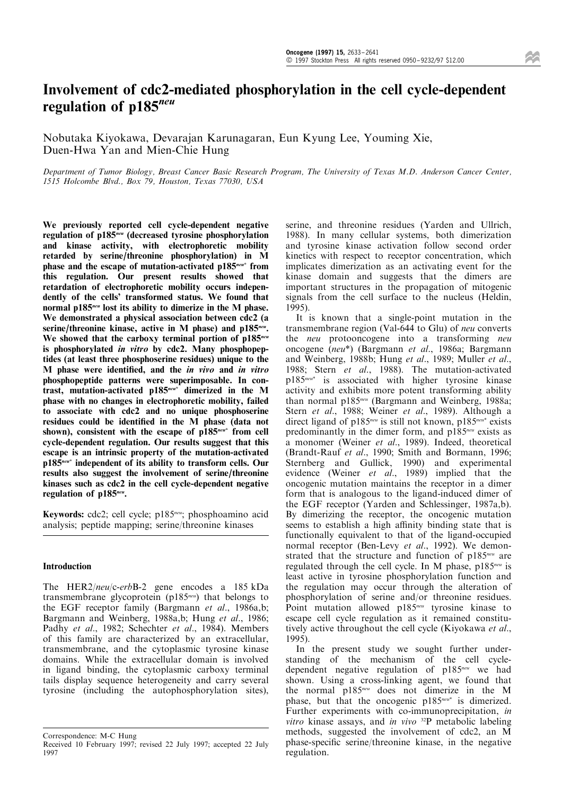# Involvement of cdc2-mediated phosphorylation in the cell cycle-dependent regulation of p185<sup>neu</sup>

Nobutaka Kiyokawa, Devarajan Karunagaran, Eun Kyung Lee, Youming Xie, Duen-Hwa Yan and Mien-Chie Hung

Department of Tumor Biology, Breast Cancer Basic Research Program, The University of Texas M.D. Anderson Cancer Center, 1515 Holcombe Blvd., Box 79, Houston, Texas 77030, USA

We previously reported cell cycle-dependent negative regulation of p185neu (decreased tyrosine phosphorylation and kinase activity, with electrophoretic mobility retarded by serine/threonine phosphorylation) in M phase and the escape of mutation-activated p185<sup>neu\*</sup> from this regulation. Our present results showed that retardation of electrophoretic mobility occurs independently of the cells' transformed status. We found that normal p185<sup>neu</sup> lost its ability to dimerize in the M phase. We demonstrated a physical association between cdc2 (a serine/threonine kinase, active in M phase) and p185<sup>neu</sup>. We showed that the carboxy terminal portion of  $p185^{neu}$ is phosphorylated in vitro by cdc2. Many phosphopeptides (at least three phosphoserine residues) unique to the M phase were identified, and the in vivo and in vitro phosphopeptide patterns were superimposable. In contrast, mutation-activated p185neu\* dimerized in the M phase with no changes in electrophoretic mobility, failed to associate with cdc2 and no unique phosphoserine residues could be identified in the M phase (data not shown), consistent with the escape of  $p\overline{185}^{neu*}$  from cell cycle-dependent regulation. Our results suggest that this escape is an intrinsic property of the mutation-activated p185<sup>neu\*</sup> independent of its ability to transform cells. Our results also suggest the involvement of serine/threonine kinases such as cdc2 in the cell cycle-dependent negative regulation of p185<sup>neu</sup>.

Keywords: cdc2; cell cycle; p185<sup>neu</sup>; phosphoamino acid analysis; peptide mapping; serine/threonine kinases

## Introduction

The HER2/neu/c-erbB-2 gene encodes a 185 kDa transmembrane glycoprotein ( $p185^{neu}$ ) that belongs to the EGF receptor family (Bargmann et al., 1986a,b; Bargmann and Weinberg, 1988a,b; Hung et al., 1986; Padhy et al., 1982; Schechter et al., 1984). Members of this family are characterized by an extracellular, transmembrane, and the cytoplasmic tyrosine kinase domains. While the extracellular domain is involved in ligand binding, the cytoplasmic carboxy terminal tails display sequence heterogeneity and carry several tyrosine (including the autophosphorylation sites),

serine, and threonine residues (Yarden and Ullrich, 1988). In many cellular systems, both dimerization and tyrosine kinase activation follow second order kinetics with respect to receptor concentration, which implicates dimerization as an activating event for the kinase domain and suggests that the dimers are important structures in the propagation of mitogenic signals from the cell surface to the nucleus (Heldin, 1995).

It is known that a single-point mutation in the transmembrane region (Val-644 to Glu) of neu converts the *neu* protooncogene into a transforming *neu* oncogene (neu\*) (Bargmann et al., 1986a; Bargmann and Weinberg, 1988b; Hung et al., 1989; Muller et al., 1988; Stern et al., 1988). The mutation-activated p185neu\* is associated with higher tyrosine kinase activity and exhibits more potent transforming ability than normal p185<sup>neu</sup> (Bargmann and Weinberg, 1988a; Stern et al., 1988; Weiner et al., 1989). Although a direct ligand of p185<sup>neu</sup> is still not known, p185<sup>neu\*</sup> exists predominantly in the dimer form, and  $p185^{neu}$  exists as a monomer (Weiner et al., 1989). Indeed, theoretical (Brandt-Rauf et al., 1990; Smith and Bormann, 1996; Sternberg and Gullick, 1990) and experimental evidence (Weiner et al., 1989) implied that the oncogenic mutation maintains the receptor in a dimer form that is analogous to the ligand-induced dimer of the EGF receptor (Yarden and Schlessinger, 1987a,b). By dimerizing the receptor, the oncogenic mutation seems to establish a high affinity binding state that is functionally equivalent to that of the ligand-occupied normal receptor (Ben-Levy et al., 1992). We demonstrated that the structure and function of  $p185^{neu}$  are regulated through the cell cycle. In M phase,  $p185^{neu}$  is least active in tyrosine phosphorylation function and the regulation may occur through the alteration of phosphorylation of serine and/or threonine residues. Point mutation allowed  $p185^{neu}$  tyrosine kinase to escape cell cycle regulation as it remained constitutively active throughout the cell cycle (Kiyokawa et al., 1995).

In the present study we sought further understanding of the mechanism of the cell cycledependent negative regulation of p185<sup>neu</sup> we had shown. Using a cross-linking agent, we found that the normal p185neu does not dimerize in the M phase, but that the oncogenic  $p185^{neu*}$  is dimerized. Further experiments with co-immunoprecipitation, in vitro kinase assays, and in vivo  $32P$  metabolic labeling methods, suggested the involvement of cdc2, an M phase-specific serine/threonine kinase, in the negative regulation.

Correspondence: M-C Hung Received 10 February 1997; revised 22 July 1997; accepted 22 July 1997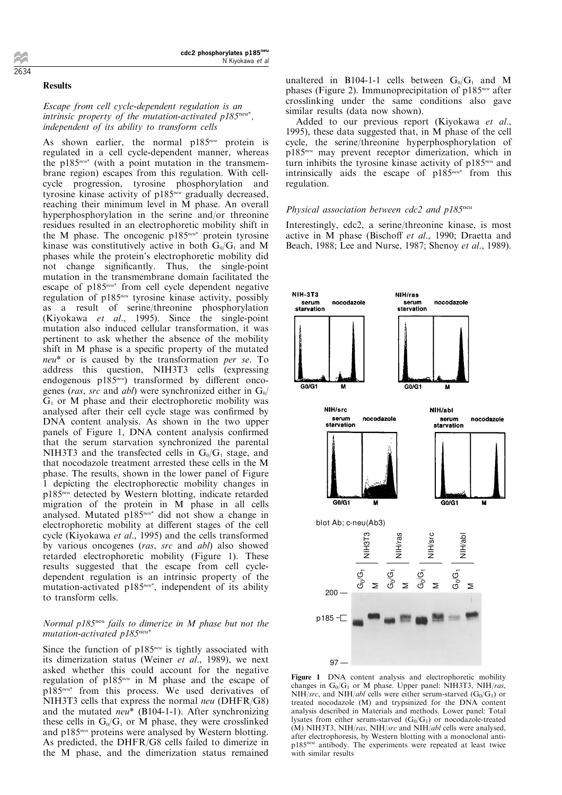## Results

# Escape from cell cycle-dependent regulation is an intrinsic property of the mutation-activated  $p185^{\text{neu}*}$ , independent of its ability to transform cells

As shown earlier, the normal  $p185^{neu}$  protein is regulated in a cell cycle-dependent manner, whereas the  $p185^{neu*}$  (with a point mutation in the transmembrane region) escapes from this regulation. With cellcycle progression, tyrosine phosphorylation and tyrosine kinase activity of p185<sup>neu</sup> gradually decreased, reaching their minimum level in M phase. An overall hyperphosphorylation in the serine and/or threonine residues resulted in an electrophoretic mobility shift in the M phase. The oncogenic  $p185^{neu*}$  protein tyrosine kinase was constitutively active in both  $G_0/G_1$  and M phases while the protein's electrophoretic mobility did not change significantly. Thus, the single-point mutation in the transmembrane domain facilitated the escape of p185<sup>neu\*</sup> from cell cycle dependent negative regulation of p185neu tyrosine kinase activity, possibly as a result of serine/threonine phosphorylation (Kiyokawa et al., 1995). Since the single-point mutation also induced cellular transformation, it was pertinent to ask whether the absence of the mobility shift in M phase is a specific property of the mutated neu\* or is caused by the transformation per se. To address this question, NIH3T3 cells (expressing endogenous p185 $n$ eu) transformed by different oncogenes (ras, src and abl) were synchronized either in  $G_0/$  $G<sub>1</sub>$  or M phase and their electrophoretic mobility was analysed after their cell cycle stage was confirmed by DNA content analysis. As shown in the two upper panels of Figure 1, DNA content analysis confirmed that the serum starvation synchronized the parental NIH3T3 and the transfected cells in  $G_0/G_1$  stage, and that nocodazole treatment arrested these cells in the M phase. The results, shown in the lower panel of Figure 1 depicting the electrophorectic mobility changes in p185neu detected by Western blotting, indicate retarded migration of the protein in M phase in all cells analysed. Mutated p185<sup>neu\*</sup> did not show a change in electrophoretic mobility at different stages of the cell cycle (Kiyokawa et al., 1995) and the cells transformed by various oncogenes (ras, src and abl) also showed retarded electrophoretic mobility (Figure 1). These results suggested that the escape from cell cycledependent regulation is an intrinsic property of the mutation-activated p185<sup>neu\*</sup>, independent of its ability to transform cells.

## Normal  $p185<sup>neu</sup>$  fails to dimerize in M phase but not the mutation-activated p185neu\*

Since the function of  $p185^{neu}$  is tightly associated with its dimerization status (Weiner et al., 1989), we next asked whether this could account for the negative regulation of  $p185^{neu}$  in M phase and the escape of p185neu\* from this process. We used derivatives of NIH3T3 cells that express the normal *neu* (DHFR/G8) and the mutated *neu*<sup>\*</sup> (B104-1-1). After synchronizing these cells in  $G_0/G_1$  or M phase, they were crosslinked and p185<sup>neu</sup> proteins were analysed by Western blotting. As predicted, the DHFR/G8 cells failed to dimerize in the M phase, and the dimerization status remained

unaltered in B104-1-1 cells between  $G_0/G_1$  and M phases (Figure 2). Immunoprecipitation of  $p185^{neu}$  after crosslinking under the same conditions also gave similar results (data now shown).

Added to our previous report (Kiyokawa et al., 1995), these data suggested that, in M phase of the cell cycle, the serine/threonine hyperphosphorylation of p185neu may prevent receptor dimerization, which in turn inhibits the tyrosine kinase activity of p185<sup>neu</sup> and intrinsically aids the escape of  $p185^{neu*}$  from this regulation.

## Physical association between cdc2 and  $p185<sup>neu</sup>$

Interestingly, cdc2, a serine/threonine kinase, is most active in M phase (Bischoff et al., 1990; Draetta and Beach, 1988; Lee and Nurse, 1987; Shenoy et al., 1989).



Figure 1 DNA content analysis and electrophoretic mobility changes in  $G_0/G_1$  or M phase. Upper panel: NIH3T3, NIH/ras, NIH/src, and NIH/abl cells were either serum-starved  $(G_0/G_1)$  or treated nocodazole (M) and trypsinized for the DNA content analysis described in Materials and methods. Lower panel: Total lysates from either serum-starved  $(G_0/G_1)$  or nocodazole-treated (M) NIH3T3, NIH/ras, NIH/src and NIH/abl cells were analysed, after electrophoresis, by Western blotting with a monoclonal antip185<sup>neu</sup> antibody. The experiments were repeated at least twice with similar results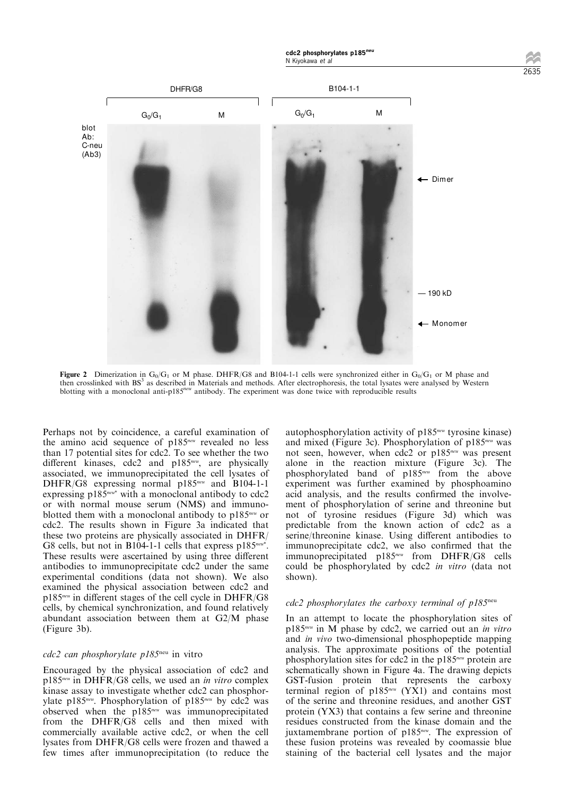

Figure 2 Dimerization in G<sub>0</sub>/G<sub>1</sub> or M phase. DHFR/G8 and B104-1-1 cells were synchronized either in G<sub>0</sub>/G<sub>1</sub> or M phase and then crosslinked with BS<sup>3</sup> as described in Materials and methods. After electrophoresis, the total lysates were analysed by Western blotting with a monoclonal anti-p185neu antibody. The experiment was done twice with reproducible results

Perhaps not by coincidence, a careful examination of the amino acid sequence of  $p185^{neu}$  revealed no less than 17 potential sites for cdc2. To see whether the two different kinases, cdc2 and  $p185^{neu}$ , are physically associated, we immunoprecipitated the cell lysates of DHFR/G8 expressing normal p185<sup>neu</sup> and B104-1-1 expressing  $p185^{neu*}$  with a monoclonal antibody to cdc2 or with normal mouse serum (NMS) and immunoblotted them with a monoclonal antibody to p185<sup>neu</sup> or cdc2. The results shown in Figure 3a indicated that these two proteins are physically associated in DHFR/ G8 cells, but not in B104-1-1 cells that express  $p185^{neu^*}$ . These results were ascertained by using three different antibodies to immunoprecipitate cdc2 under the same experimental conditions (data not shown). We also examined the physical association between cdc2 and  $p185^{neu}$  in different stages of the cell cycle in DHFR/G8 cells, by chemical synchronization, and found relatively abundant association between them at G2/M phase (Figure 3b).

# cdc2 can phosphorylate p185neu in vitro

Encouraged by the physical association of cdc2 and  $p185^{neu}$  in DHFR/G8 cells, we used an *in vitro* complex kinase assay to investigate whether cdc2 can phosphorylate p185<sup>neu</sup>. Phosphorylation of p185<sup>neu</sup> by cdc2 was observed when the p185<sup>neu</sup> was immunoprecipitated from the DHFR/G8 cells and then mixed with commercially available active cdc2, or when the cell lysates from DHFR/G8 cells were frozen and thawed a few times after immunoprecipitation (to reduce the autophosphorylation activity of  $p185^{neu}$  tyrosine kinase) and mixed (Figure 3c). Phosphorylation of  $p185^{neu}$  was not seen, however, when cdc2 or p185<sup>neu</sup> was present alone in the reaction mixture (Figure 3c). The phosphorylated band of p185<sup>neu</sup> from the above experiment was further examined by phosphoamino acid analysis, and the results confirmed the involvement of phosphorylation of serine and threonine but not of tyrosine residues (Figure 3d) which was predictable from the known action of cdc2 as a serine/threonine kinase. Using different antibodies to immunoprecipitate cdc2, we also confirmed that the immunoprecipitated p185<sup>neu</sup> from DHFR/G8 cells could be phosphorylated by cdc2 in vitro (data not shown).

### $cdc2$  phosphorylates the carboxy terminal of  $p185<sup>neu</sup>$

In an attempt to locate the phosphorylation sites of  $p185^{neu}$  in M phase by cdc2, we carried out an in vitro and in vivo two-dimensional phosphopeptide mapping analysis. The approximate positions of the potential phosphorylation sites for cdc2 in the  $p185^{neu}$  protein are schematically shown in Figure 4a. The drawing depicts GST-fusion protein that represents the carboxy terminal region of  $p185^{neu}$  (YX1) and contains most of the serine and threonine residues, and another GST protein (YX3) that contains a few serine and threonine residues constructed from the kinase domain and the juxtamembrane portion of p185<sup>neu</sup>. The expression of these fusion proteins was revealed by coomassie blue staining of the bacterial cell lysates and the major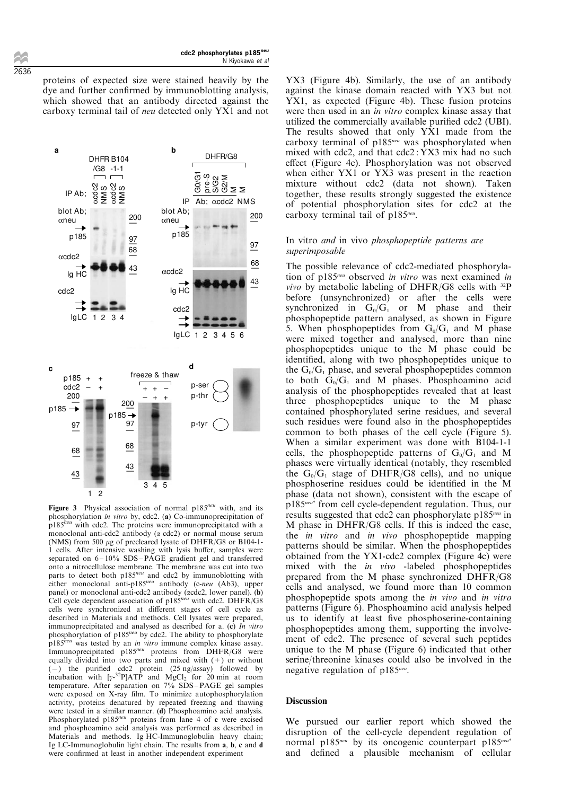proteins of expected size were stained heavily by the dye and further confirmed by immunoblotting analysis, which showed that an antibody directed against the carboxy terminal tail of neu detected only YX1 and not



phosphorylation in vitro by, cdc2. (a) Co-immunoprecipitation of  $p185^{neu}$  with cdc2. The proteins were immunoprecipitated with a monoclonal anti-cdc2 antibody  $(\alpha \text{ cdc2})$  or normal mouse serum (NMS) from 500  $\mu$ g of precleared lysate of DHFR/G8 or B104-1-1 cells. After intensive washing with lysis buffer, samples were separated on  $6 - 10\%$  SDS-PAGE gradient gel and transferred onto a nitrocellulose membrane. The membrane was cut into two parts to detect both p185<sup>neu</sup> and cdc2 by immunoblotting with either monoclonal anti-p185<sup>neu</sup> antibody (c-neu (Ab3), upper panel) or monoclonal anti-cdc2 antibody (acdc2, lower panel). (b) Cell cycle dependent association of p185<sup>neu</sup> with cdc2. DHFR/G8 cells were synchronized at different stages of cell cycle as described in Materials and methods. Cell lysates were prepared, immunoprecipitated and analysed as described for a.  $(c)$  In vitro phosphorylation of  $p185^{neu}$  by cdc2. The ability to phosphorylate  $p185^{neu}$  was tested by an in vitro immune complex kinase assay. Immunoprecipitated  $p185^{neu}$  proteins from DHFR/G8 were equally divided into two parts and mixed with (+) or without  $(-)$  the purified cdc2 protein (25 ng/assay) followed by incubation with  $[\gamma^{-32}P]AT\dot{P}$  and  $MgCl_2$  for 20 min at room temperature. After separation on  $7\%$  SDS-PAGE gel samples were exposed on X-ray film. To minimize autophosphorylation activity, proteins denatured by repeated freezing and thawing were tested in a similar manner. (d) Phosphoamino acid analysis. Phosphorylated  $p185^{neu}$  proteins from lane 4 of c were excised and phosphoamino acid analysis was performed as described in Materials and methods. Ig HC-Immunoglobulin heavy chain; Ig LC-Immunoglobulin light chain. The results from a, b, c and d were confirmed at least in another independent experiment

YX3 (Figure 4b). Similarly, the use of an antibody against the kinase domain reacted with YX3 but not YX1, as expected (Figure 4b). These fusion proteins were then used in an *in vitro* complex kinase assay that utilized the commercially available purified cdc2 (UBI). The results showed that only YX1 made from the carboxy terminal of  $p185^{neu}$  was phosphorylated when mixed with cdc2, and that  $cdc2$ :  $\overline{Y}X3$  mix had no such effect (Figure 4c). Phosphorylation was not observed when either YX1 or YX3 was present in the reaction mixture without cdc2 (data not shown). Taken together, these results strongly suggested the existence of potential phosphorylation sites for cdc2 at the carboxy terminal tail of  $p185^{neu}$ .

## In vitro and in vivo phosphopeptide patterns are superimposable

The possible relevance of cdc2-mediated phosphorylation of p185<sup>neu</sup> observed in vitro was next examined in vivo by metabolic labeling of DHFR/G8 cells with  $^{32}P$ before (unsynchronized) or after the cells were synchronized in  $G_0/G_1$  or M phase and their phosphopeptide pattern analysed, as shown in Figure 5. When phosphopeptides from  $G_0/G_1$  and M phase were mixed together and analysed, more than nine phosphopeptides unique to the M phase could be identified, along with two phosphopeptides unique to the  $G_0/G_1$  phase, and several phosphopeptides common to both  $G_0/G_1$  and M phases. Phosphoamino acid analysis of the phosphopeptides revealed that at least three phosphopeptides unique to the M phase contained phosphorylated serine residues, and several such residues were found also in the phosphopeptides common to both phases of the cell cycle (Figure 5). When a similar experiment was done with B104-1-1 cells, the phosphopeptide patterns of  $G_0/G_1$  and M phases were virtually identical (notably, they resembled the  $G_0/G_1$  stage of DHFR/G8 cells), and no unique phosphoserine residues could be identified in the M phase (data not shown), consistent with the escape of p185neu\* from cell cycle-dependent regulation. Thus, our results suggested that cdc2 can phosphorylate p185neu in M phase in DHFR/G8 cells. If this is indeed the case, the *in vitro* and *in vivo* phosphopeptide mapping patterns should be similar. When the phosphopeptides obtained from the YX1-cdc2 complex (Figure 4c) were mixed with the in vivo -labeled phosphopeptides prepared from the M phase synchronized DHFR/G8 cells and analysed, we found more than 10 common phosphopeptide spots among the in vivo and in vitro patterns (Figure 6). Phosphoamino acid analysis helped us to identify at least five phosphoserine-containing phosphopeptides among them, supporting the involvement of cdc2. The presence of several such peptides unique to the M phase (Figure 6) indicated that other serine/threonine kinases could also be involved in the negative regulation of  $p185^{neu}$ .

## Discussion

We pursued our earlier report which showed the disruption of the cell-cycle dependent regulation of normal p185<sup>neu</sup> by its oncogenic counterpart p185<sup>neu\*</sup> and defined a plausible mechanism of cellular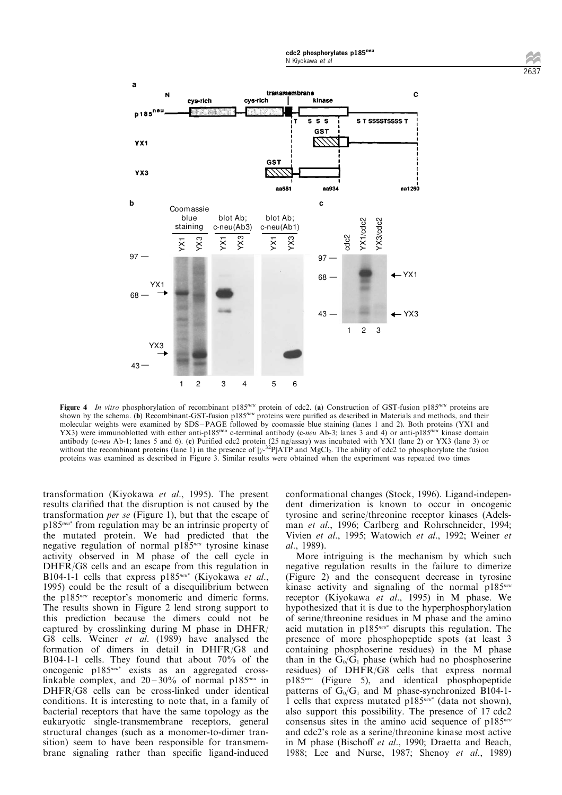

Figure 4 In vitro phosphorylation of recombinant p185<sup>neu</sup> protein of cdc2. (a) Construction of GST-fusion p185<sup>neu</sup> proteins are shown by the schema. (b) Recombinant-GST-fusion p185<sup>neu</sup> proteins were purified as described in Materials and methods, and their molecular weights were examined by SDS-PAGE followed by coomassie blue staining (lanes 1 and 2). Both proteins (YX1 and YX3) were immunoblotted with either anti-p185<sup>neu</sup> c-terminal antibody (c-neu Ab-3; lanes 3 and 4) or anti-p185<sup>neu</sup> kinase domain antibody (c-neu Ab-1; lanes 5 and 6). (c) Purified cdc2 protein (25 ng/assay) was incubated with YX1 (lane 2) or YX3 (lane 3) or without the recombinant proteins (lane 1) in the presence of  $[y^{-32}P]ATP$  and MgCl<sub>2</sub>. The ability of cdc2 to phosphorylate the fusion proteins was examined as described in Figure 3. Similar results were obtained when the experiment was repeated two times

transformation (Kiyokawa et al., 1995). The present results clarified that the disruption is not caused by the transformation per se (Figure 1), but that the escape of p185neu\* from regulation may be an intrinsic property of the mutated protein. We had predicted that the negative regulation of normal  $p185^{neu}$  tyrosine kinase activity observed in M phase of the cell cycle in DHFR/G8 cells and an escape from this regulation in B104-1-1 cells that express  $p185^{neu*}$  (Kiyokawa et al., 1995) could be the result of a disequilibrium between the p185neu receptor's monomeric and dimeric forms. The results shown in Figure 2 lend strong support to this prediction because the dimers could not be captured by crosslinking during M phase in DHFR/ G8 cells. Weiner et al. (1989) have analysed the formation of dimers in detail in DHFR/G8 and B104-1-1 cells. They found that about 70% of the oncogenic p185<sup>neu\*</sup> exists as an aggregated crosslinkable complex, and  $20-30\%$  of normal p185<sup>neu</sup> in DHFR/G8 cells can be cross-linked under identical conditions. It is interesting to note that, in a family of bacterial receptors that have the same topology as the eukaryotic single-transmembrane receptors, general structural changes (such as a monomer-to-dimer transition) seem to have been responsible for transmembrane signaling rather than specific ligand-induced conformational changes (Stock, 1996). Ligand-independent dimerization is known to occur in oncogenic tyrosine and serine/threonine receptor kinases (Adelsman et al., 1996; Carlberg and Rohrschneider, 1994; Vivien et al., 1995; Watowich et al., 1992; Weiner et al., 1989).

More intriguing is the mechanism by which such negative regulation results in the failure to dimerize (Figure 2) and the consequent decrease in tyrosine kinase activity and signaling of the normal  $p185^{neu}$ receptor (Kiyokawa et al., 1995) in M phase. We hypothesized that it is due to the hyperphosphorylation of serine/threonine residues in M phase and the amino acid mutation in p185neu\* disrupts this regulation. The presence of more phosphopeptide spots (at least 3 containing phosphoserine residues) in the M phase than in the  $G_0/G_1$  phase (which had no phosphoserine residues) of DHFR/G8 cells that express normal p185neu (Figure 5), and identical phosphopeptide patterns of  $G_0/G_1$  and M phase-synchronized B104-1-1 cells that express mutated  $p185^{neu*}$  (data not shown), also support this possibility. The presence of 17 cdc2 consensus sites in the amino acid sequence of  $p185^{neu}$ and cdc2's role as a serine/threonine kinase most active in M phase (Bischoff et al., 1990; Draetta and Beach, 1988; Lee and Nurse, 1987; Shenoy et al., 1989)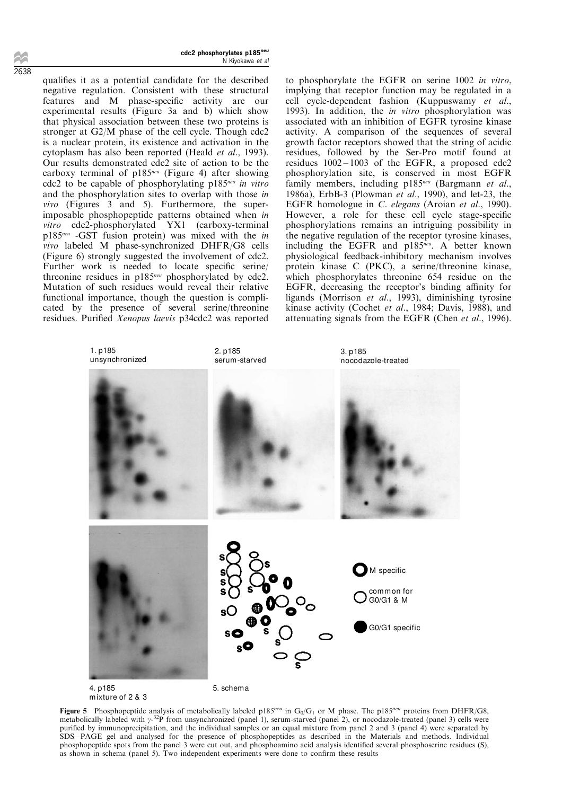qualifies it as a potential candidate for the described negative regulation. Consistent with these structural features and M phase-specific activity are our experimental results (Figure 3a and b) which show that physical association between these two proteins is stronger at G2/M phase of the cell cycle. Though cdc2 is a nuclear protein, its existence and activation in the cytoplasm has also been reported (Heald et al., 1993). Our results demonstrated cdc2 site of action to be the carboxy terminal of  $p185^{neu}$  (Figure 4) after showing cdc2 to be capable of phosphorylating  $p185^{neu}$  in vitro and the phosphorylation sites to overlap with those in vivo (Figures 3 and 5). Furthermore, the superimposable phosphopeptide patterns obtained when in vitro cdc2-phosphorylated YX1 (carboxy-terminal p185neu -GST fusion protein) was mixed with the in vivo labeled M phase-synchronized DHFR/G8 cells (Figure 6) strongly suggested the involvement of cdc2. Further work is needed to locate specific serine/ threonine residues in  $p185^{neu}$  phosphorylated by cdc2. Mutation of such residues would reveal their relative functional importance, though the question is complicated by the presence of several serine/threonine residues. Purified Xenopus laevis p34cdc2 was reported to phosphorylate the EGFR on serine 1002 in vitro, implying that receptor function may be regulated in a cell cycle-dependent fashion (Kuppuswamy et al., 1993). In addition, the in vitro phosphorylation was associated with an inhibition of EGFR tyrosine kinase activity. A comparison of the sequences of several growth factor receptors showed that the string of acidic residues, followed by the Ser-Pro motif found at residues  $1002 - 1003$  of the EGFR, a proposed cdc2 phosphorylation site, is conserved in most EGFR family members, including  $p185^{neu}$  (Bargmann et al., 1986a), ErbB-3 (Plowman et al., 1990), and let-23, the EGFR homologue in C. elegans (Aroian et al., 1990). However, a role for these cell cycle stage-specific phosphorylations remains an intriguing possibility in the negative regulation of the receptor tyrosine kinases, including the EGFR and p185<sup>neu</sup>. A better known physiological feedback-inhibitory mechanism involves protein kinase C (PKC), a serine/threonine kinase, which phosphorylates threonine 654 residue on the EGFR, decreasing the receptor's binding affinity for ligands (Morrison et al., 1993), diminishing tyrosine kinase activity (Cochet et al., 1984; Davis, 1988), and attenuating signals from the EGFR (Chen et al., 1996).



4. p185 mixture of 2 & 3 5. schema

Figure 5 Phosphopeptide analysis of metabolically labeled p185<sup>neu</sup> in  $G_0/G_1$  or M phase. The p185<sup>neu</sup> proteins from DHFR/G8, metabolically labeled with  $\gamma$ -<sup>32</sup>P from unsynchronized (panel 1), serum-starved (panel 2), or nocodazole-treated (panel 3) cells were purified by immunoprecipitation, and the individual samples or an equal mixture from panel 2 and 3 (panel 4) were separated by SDS-PAGE gel and analysed for the presence of phosphopeptides as described in the Materials and methods. Individual phosphopeptide spots from the panel 3 were cut out, and phosphoamino acid analysis identified several phosphoserine residues (S), as shown in schema (panel 5). Two independent experiments were done to confirm these results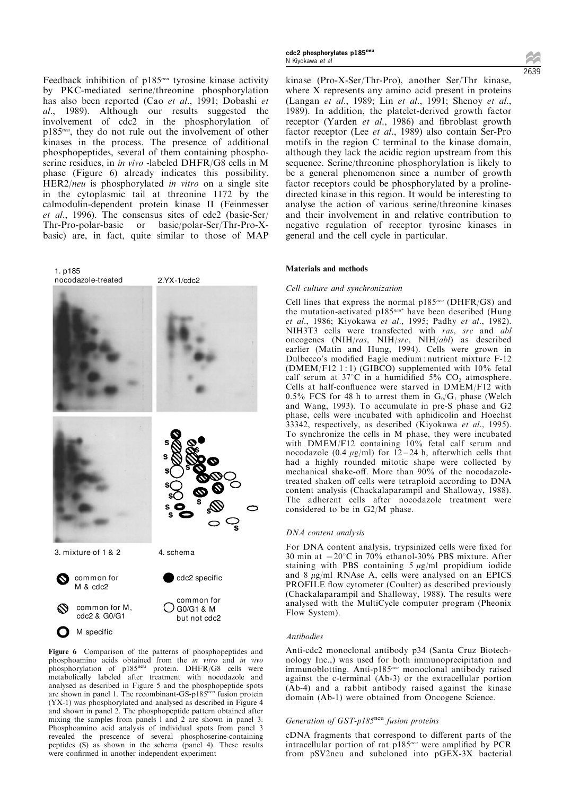Feedback inhibition of p185<sup>neu</sup> tyrosine kinase activity by PKC-mediated serine/threonine phosphorylation has also been reported (Cao et al., 1991; Dobashi et al., 1989). Although our results suggested the involvement of cdc2 in the phosphorylation of p185<sup>neu</sup>, they do not rule out the involvement of other kinases in the process. The presence of additional phosphopeptides, several of them containing phosphoserine residues, in in vivo -labeled DHFR/G8 cells in M phase (Figure 6) already indicates this possibility. HER2/neu is phosphorylated in vitro on a single site in the cytoplasmic tail at threonine 1172 by the calmodulin-dependent protein kinase II (Feinmesser et al., 1996). The consensus sites of cdc2 (basic-Ser/ Thr-Pro-polar-basic or basic/polar-Ser/Thr-Pro-Xbasic) are, in fact, quite similar to those of MAP



Figure 6 Comparison of the patterns of phosphopeptides and phosphoamino acids obtained from the in vitro and in vivo phosphorylation of p185<sup>neu</sup> protein. DHFR/G8 cells were metabolically labeled after treatment with nocodazole and analysed as described in Figure 5 and the phosphopeptide spots<br>are shown in panel 1. The recombinant-GS-p185<sup>neu</sup> fusion protein (YX-1) was phosphorylated and analysed as described in Figure 4 and shown in panel 2. The phosphopeptide pattern obtained after mixing the samples from panels l and 2 are shown in panel 3. Phosphoamino acid analysis of individual spots from panel 3 revealed the prescence of several phosphoserine-containing peptides (S) as shown in the schema (panel 4). These results were confirmed in another independent experiment

cdc2 phosphorylates p185neu N Kiyokawa et al

kinase (Pro-X-Ser/Thr-Pro), another Ser/Thr kinase, where X represents any amino acid present in proteins (Langan et al., 1989; Lin et al., 1991; Shenoy et al., 1989). In addition, the platelet-derived growth factor receptor (Yarden et al., 1986) and fibroblast growth factor receptor (Lee et al., 1989) also contain Ser-Pro motifs in the region C terminal to the kinase domain, although they lack the acidic region upstream from this sequence. Serine/threonine phosphorylation is likely to be a general phenomenon since a number of growth factor receptors could be phosphorylated by a prolinedirected kinase in this region. It would be interesting to analyse the action of various serine/threonine kinases and their involvement in and relative contribution to negative regulation of receptor tyrosine kinases in general and the cell cycle in particular.

# Materials and methods

#### Cell culture and synchronization

Cell lines that express the normal  $p185^{neu}$  (DHFR/G8) and the mutation-activated p185<sup>neu\*</sup> have been described (Hung et al., 1986; Kiyokawa et al., 1995; Padhy et al., 1982). NIH3T3 cells were transfected with ras, src and abl oncogenes (NIH/ras, NIH/src, NIH/abl) as described earlier (Matin and Hung, 1994). Cells were grown in Dulbecco's modified Eagle medium : nutrient mixture F-12  $(DMEM/F12 1:1)$   $(GIBCO)$  supplemented with  $10\%$  fetal calf serum at  $37^{\circ}$ C in a humidified  $5\%$  CO<sub>2</sub> atmosphere. Cells at half-confluence were starved in DMEM/F12 with 0.5% FCS for 48 h to arrest them in  $G_0/G_1$  phase (Welch and Wang, 1993). To accumulate in pre-S phase and G2 phase, cells were incubated with aphidicolin and Hoechst 33342, respectively, as described (Kiyokawa et al., 1995). To synchronize the cells in M phase, they were incubated with DMEM/F12 containing 10% fetal calf serum and nocodazole (0.4  $\mu$ g/ml) for 12-24 h, afterwhich cells that had a highly rounded mitotic shape were collected by mechanical shake-off. More than  $90\%$  of the nocodazoletreated shaken off cells were tetraploid according to DNA content analysis (Chackalaparampil and Shalloway, 1988). The adherent cells after nocodazole treatment were considered to be in G2/M phase.

### DNA content analysis

For DNA content analysis, trypsinized cells were fixed for 30 min at  $-20^{\circ}$ C in 70% ethanol-30% PBS mixture. After staining with PBS containing  $5 \mu g/ml$  propidium iodide and  $8 \mu g/ml$  RNAse A, cells were analysed on an EPICS PROFILE flow cytometer (Coulter) as described previously (Chackalaparampil and Shalloway, 1988). The results were analysed with the MultiCycle computer program (Pheonix Flow System).

#### Antibodies

Anti-cdc2 monoclonal antibody p34 (Santa Cruz Biotechnology Inc.,) was used for both immunoprecipitation and immunoblotting. Anti-p185<sup>neu</sup> monoclonal antibody raised against the c-terminal (Ab-3) or the extracellular portion (Ab-4) and a rabbit antibody raised against the kinase domain (Ab-1) were obtained from Oncogene Science.

## Generation of  $GST-p185<sup>neu</sup>$  fusion proteins

cDNA fragments that correspond to different parts of the intracellular portion of rat  $p185^{neu}$  were amplified by PCR from pSV2neu and subcloned into pGEX-3X bacterial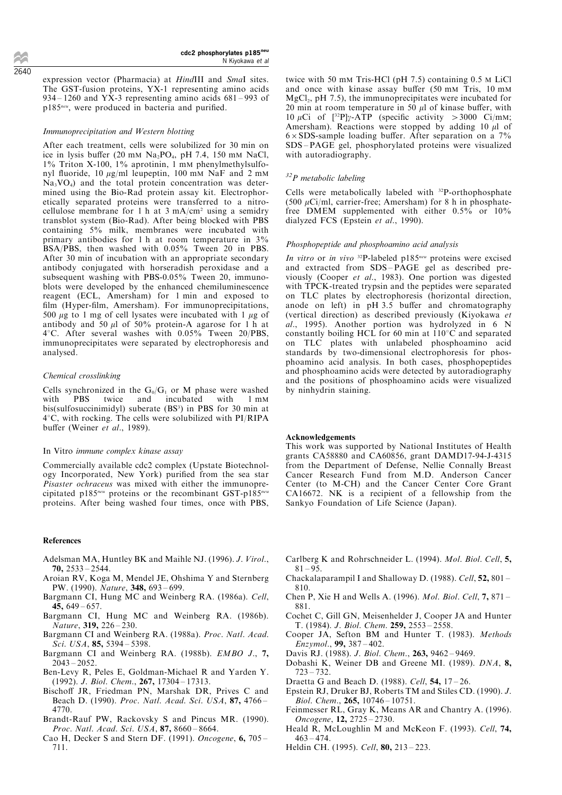expression vector (Pharmacia) at *HindIII* and *SmaI* sites. The GST-fusion proteins, YX-1 representing amino acids  $934 - 1260$  and YX-3 representing amino acids  $681 - 993$  of  $p185^{neu}$ , were produced in bacteria and purified.

#### Immunoprecipitation and Western blotting

After each treatment, cells were solubilized for 30 min on ice in lysis buffer (20 mM  $Na<sub>2</sub>PO<sub>4</sub>$ , pH 7.4, 150 mM NaCl, 1% Triton X-100, 1% aprotinin, 1 mM phenylmethylsulfonyl fluoride, 10  $\mu$ g/ml leupeptin, 100 mM NaF and 2 mM  $Na<sub>3</sub>VO<sub>4</sub>$  and the total protein concentration was determined using the Bio-Rad protein assay kit. Electrophoretically separated proteins were transferred to a nitrocellulose membrane for 1 h at 3 mA/cm<sup>2</sup> using a semidry transblot system (Bio-Rad). After being blocked with PBS containing 5% milk, membranes were incubated with primary antibodies for 1 h at room temperature in 3% BSA/PBS, then washed with 0.05% Tween 20 in PBS. After 30 min of incubation with an appropriate secondary antibody conjugated with horseradish peroxidase and a subsequent washing with PBS-0.05% Tween 20, immunoblots were developed by the enhanced chemiluminescence reagent (ECL, Amersham) for 1 min and exposed to film (Hyper-film, Amersham). For immunoprecipitations, 500  $\mu$ g to 1 mg of cell lysates were incubated with 1  $\mu$ g of antibody and 50  $\mu$ l of 50% protein-A agarose for 1 h at  $4^{\circ}$ C. After several washes with 0.05% Tween 20/PBS, immunoprecipitates were separated by electrophoresis and analysed.

## Chemical crosslinking

Cells synchronized in the  $G_0/G_1$  or M phase were washed<br>with PBS twice and incubated with 1 mM twice and incubated with 1 mM bis(sulfosuccinimidyl) suberate (BS<sup>3</sup>) in PBS for 30 min at  $4^{\circ}$ C, with rocking. The cells were solubilized with PI/RIPA buffer (Weiner et al., 1989).

#### In Vitro immune complex kinase assay

Commercially available cdc2 complex (Upstate Biotechnology Incorporated, New York) purified from the sea star Pisaster ochraceus was mixed with either the immunoprecipitated p185<sup>neu</sup> proteins or the recombinant GST-p185<sup>neu</sup> proteins. After being washed four times, once with PBS,

#### References

- Adelsman MA, Huntley BK and Maihle NJ. (1996). J. Virol.,  $70, 2533 - 2544.$
- Aroian RV, Koga M, Mendel JE, Ohshima Y and Sternberg PW. (1990). Nature, 348, 693-699.
- Bargmann CI, Hung MC and Weinberg RA. (1986a). Cell, 45,  $649 - 657$ .
- Bargmann CI, Hung MC and Weinberg RA. (1986b). Nature,  $319, 226 - 230$ .
- Bargmann CI and Weinberg RA. (1988a). Proc. Natl. Acad.  $Sci. USA, 85, 5394 - 5398.$
- Bargmann CI and Weinberg RA. (1988b). EMBO J., 7,  $2043 - 2052$ .
- Ben-Levy R, Peles E, Goldman-Michael R and Yarden Y.  $(1992)$ . J. Biol. Chem., 267, 17304 - 17313.
- Bischoff JR, Friedman PN, Marshak DR, Prives C and Beach D. (1990). Proc. Natl. Acad. Sci. USA, 87, 4766 -4770.
- Brandt-Rauf PW, Rackovsky S and Pincus MR. (1990). Proc. Natl. Acad. Sci. USA,  $87, 8660 - 8664$ .
- Cao H, Decker S and Stern DF. (1991). Oncogene, 6, 705 -711.

twice with 50 mM Tris-HCl (pH 7.5) containing 0.5 M LiCl and once with kinase assay buffer  $(50 \text{ mm Tris}, 10 \text{ mm})$  $MgCl<sub>2</sub>$ , pH 7.5), the immunoprecipitates were incubated for 20 min at room temperature in 50  $\mu$ l of kinase buffer, with 10  $\mu$ Ci of [<sup>32</sup>P] $\gamma$ -ATP (specific activity > 3000 Ci/mM; Amersham). Reactions were stopped by adding 10  $\mu$ l of  $6 \times$ SDS-sample loading buffer. After separation on a 7% SDS-PAGE gel, phosphorylated proteins were visualized with autoradiography.

#### $32P$  metabolic labeling

Cells were metabolically labeled with <sup>32</sup>P-orthophosphate (500  $\mu$ Ci/ml, carrier-free; Amersham) for 8 h in phosphatefree DMEM supplemented with either 0.5% or 10% dialyzed FCS (Epstein et al., 1990).

## Phosphopeptide and phosphoamino acid analysis

In vitro or in vivo <sup>32</sup>P-labeled p185<sup>neu</sup> proteins were excised and extracted from SDS-PAGE gel as described previously (Cooper et al., 1983). One portion was digested with TPCK-treated trypsin and the peptides were separated on TLC plates by electrophoresis (horizontal direction, anode on left) in  $pH$  3.5 buffer and chromatography (vertical direction) as described previously (Kiyokawa et al., 1995). Another portion was hydrolyzed in 6 N constantly boiling HCL for 60 min at  $110^{\circ}$ C and separated on TLC plates with unlabeled phosphoamino acid standards by two-dimensional electrophoresis for phosphoamino acid analysis. In both cases, phosphopeptides and phosphoamino acids were detected by autoradiography and the positions of phosphoamino acids were visualized by ninhydrin staining.

#### Acknowledgements

This work was supported by National Institutes of Health grants CA58880 and CA60856, grant DAMD17-94-J-4315 from the Department of Defense, Nellie Connally Breast Cancer Research Fund from M.D. Anderson Cancer Center (to M-CH) and the Cancer Center Core Grant CA16672. NK is a recipient of a fellowship from the Sankyo Foundation of Life Science (Japan).

- Carlberg K and Rohrschneider L. (1994). Mol. Biol. Cell, 5,  $81 - 95.$
- Chackalaparampil I and Shalloway D. (1988). Cell,  $52$ ,  $801 -$ 810.
- Chen P, Xie H and Wells A. (1996). *Mol. Biol. Cell*,  $7,871 -$ 881.
- Cochet C, Gill GN, Meisenhelder J, Cooper JA and Hunter T. (1984). J. Biol. Chem. 259, 2553-2558.
- Cooper JA, Sefton BM and Hunter T. (1983). Methods  $Enzymol.$ , 99, 387 – 402.
- Davis RJ. (1988). J. Biol. Chem., 263, 9462-9469.
- Dobashi K, Weiner DB and Greene MI. (1989). DNA, 8,  $723 - 732.$
- Draetta G and Beach D. (1988). Cell,  $54$ ,  $17-26$ .
- Epstein RJ, Druker BJ, Roberts TM and Stiles CD. (1990). J. Biol. Chem.,  $265$ ,  $10746 - 10751$ .
- Feinmesser RL, Gray K, Means AR and Chantry A. (1996). Oncogene, 12, 2725 - 2730.
- Heald R, McLoughlin M and McKeon F. (1993). Cell, 74,  $463 - 474.$
- Heldin CH. (1995). Cell, 80, 213-223.